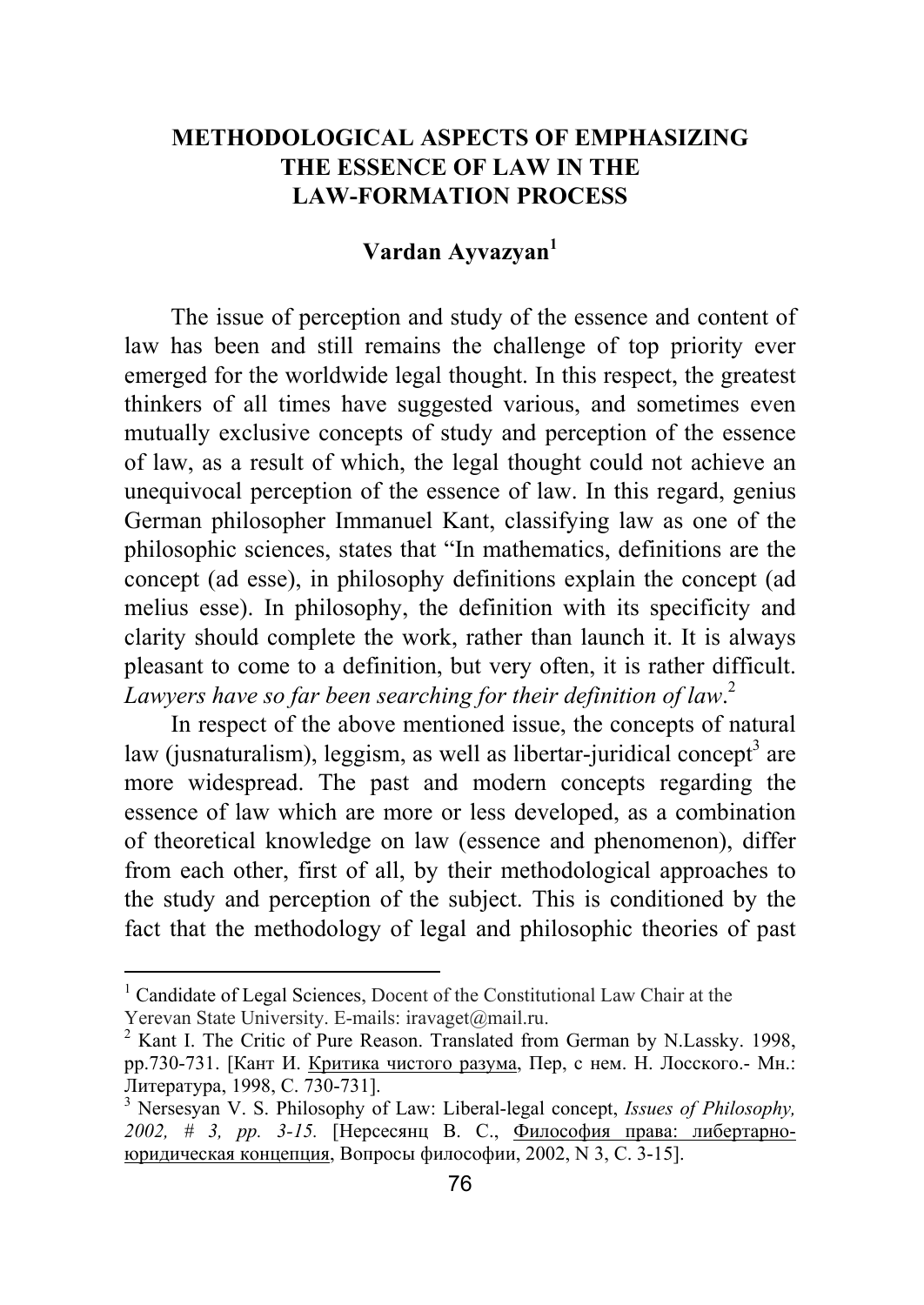## **METHODOLOGICAL ASPECTS OF EMPHASIZING THE ESSENCE OF LAW IN THE LAW-FORMATION PROCESS**

## **Vardan Ayvazyan<sup>1</sup>**

The issue of perception and study of the essence and content of law has been and still remains the challenge of top priority ever emerged for the worldwide legal thought. In this respect, the greatest thinkers of all times have suggested various, and sometimes even mutually exclusive concepts of study and perception of the essence of law, as a result of which, the legal thought could not achieve an unequivocal perception of the essence of law. In this regard, genius German philosopher Immanuel Kant, classifying law as one of the philosophic sciences, states that "In mathematics, definitions are the concept (ad esse), in philosophy definitions explain the concept (ad melius esse). In philosophy, the definition with its specificity and clarity should complete the work, rather than launch it. It is always pleasant to come to a definition, but very often, it is rather difficult. *Lawyers have so far been searching for their definition of law*. 2

In respect of the above mentioned issue, the concepts of natural law (jusnaturalism), leggism, as well as libertar-juridical concept<sup>3</sup> are more widespread. The past and modern concepts regarding the essence of law which are more or less developed, as a combination of theoretical knowledge on law (essence and phenomenon), differ from each other, first of all, by their methodological approaches to the study and perception of the subject. This is conditioned by the fact that the methodology of legal and philosophic theories of past

 1 Candidate of Legal Sciences, Docent of the Constitutional Law Chair at the Yerevan State University. E-mails: iravaget@mail.ru.

<sup>&</sup>lt;sup>2</sup> Kant I. The Critic of Pure Reason. Translated from German by N.Lassky. 1998, pp.730-731. [Кант И. Критика чистого разума, Пер, с нем. Н. Лосского.- Мн.: Литература, 1998, С. 730-731]. <sup>3</sup>

<sup>&</sup>lt;sup>3</sup> Nersesyan V. S. Philosophy of Law: Liberal-legal concept, *Issues of Philosophy*, *2002, # 3, pp. 3-15.* [Нерсесянц В. С., Философия права: либертарноюридическая концепция, Вопросы философии, 2002, N 3, С. 3-15].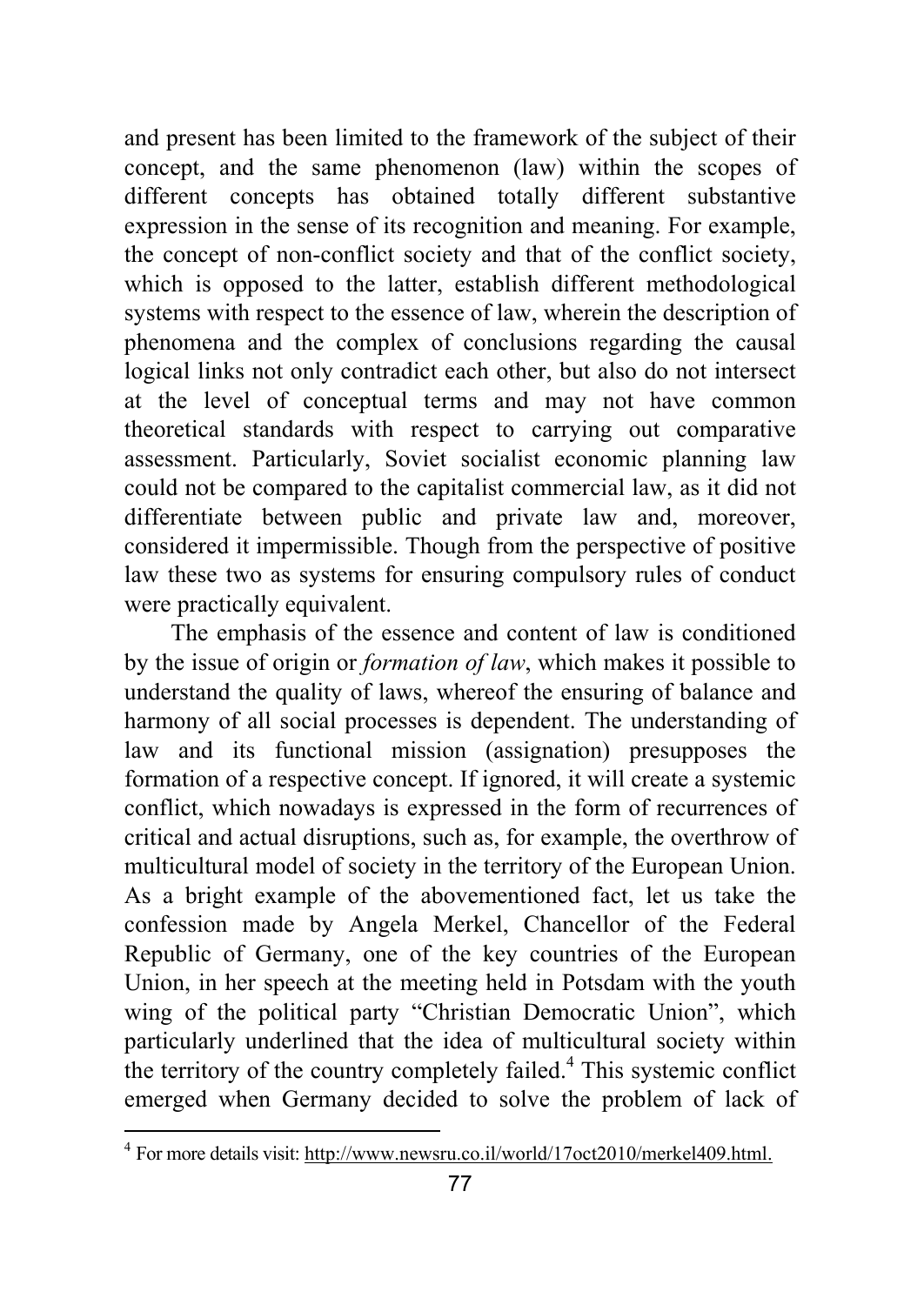and present has been limited to the framework of the subject of their concept, and the same phenomenon (law) within the scopes of different concepts has obtained totally different substantive expression in the sense of its recognition and meaning. For example, the concept of non-conflict society and that of the conflict society, which is opposed to the latter, establish different methodological systems with respect to the essence of law, wherein the description of phenomena and the complex of conclusions regarding the causal logical links not only contradict each other, but also do not intersect at the level of conceptual terms and may not have common theoretical standards with respect to carrying out comparative assessment. Particularly, Soviet socialist economic planning law could not be compared to the capitalist commercial law, as it did not differentiate between public and private law and, moreover, considered it impermissible. Though from the perspective of positive law these two as systems for ensuring compulsory rules of conduct were practically equivalent.

The emphasis of the essence and content of law is conditioned by the issue of origin or *formation of law*, which makes it possible to understand the quality of laws, whereof the ensuring of balance and harmony of all social processes is dependent. The understanding of law and its functional mission (assignation) presupposes the formation of a respective concept. If ignored, it will create a systemic conflict, which nowadays is expressed in the form of recurrences of critical and actual disruptions, such as, for example, the overthrow of multicultural model of society in the territory of the European Union. As a bright example of the abovementioned fact, let us take the confession made by Angela Merkel, Chancellor of the Federal Republic of Germany, one of the key countries of the European Union, in her speech at the meeting held in Potsdam with the youth wing of the political party "Christian Democratic Union", which particularly underlined that the idea of multicultural society within the territory of the country completely failed.<sup>4</sup> This systemic conflict emerged when Germany decided to solve the problem of lack of

 4 For more details visit: http://www.newsru.co.il/world/17oct2010/merkel409.html.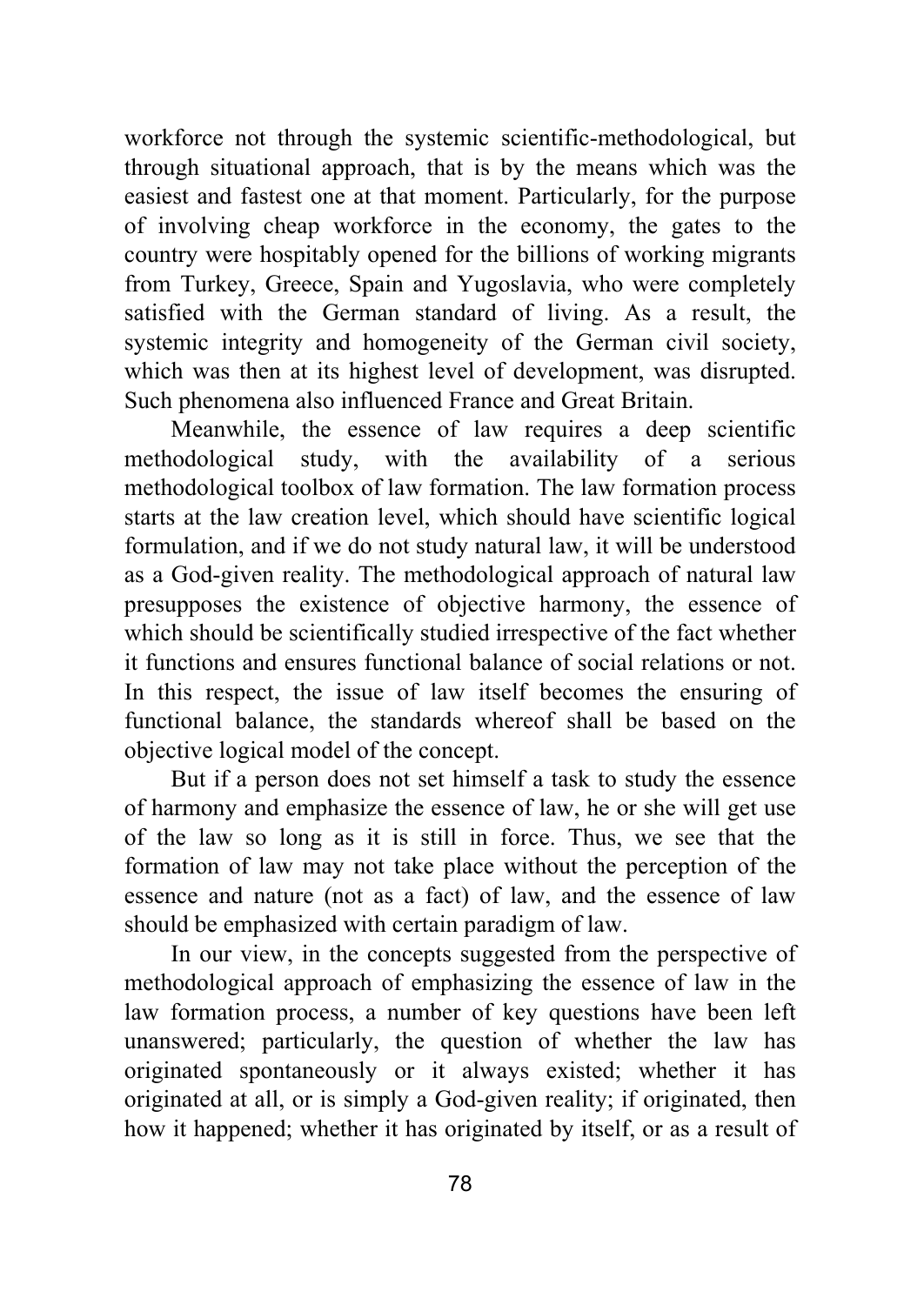workforce not through the systemic scientific-methodological, but through situational approach, that is by the means which was the easiest and fastest one at that moment. Particularly, for the purpose of involving cheap workforce in the economy, the gates to the country were hospitably opened for the billions of working migrants from Turkey, Greece, Spain and Yugoslavia, who were completely satisfied with the German standard of living. As a result, the systemic integrity and homogeneity of the German civil society, which was then at its highest level of development, was disrupted. Such phenomena also influenced France and Great Britain.

Meanwhile, the essence of law requires a deep scientific methodological study, with the availability of a serious methodological toolbox of law formation. The law formation process starts at the law creation level, which should have scientific logical formulation, and if we do not study natural law, it will be understood as a God-given reality. The methodological approach of natural law presupposes the existence of objective harmony, the essence of which should be scientifically studied irrespective of the fact whether it functions and ensures functional balance of social relations or not. In this respect, the issue of law itself becomes the ensuring of functional balance, the standards whereof shall be based on the objective logical model of the concept.

But if a person does not set himself a task to study the essence of harmony and emphasize the essence of law, he or she will get use of the law so long as it is still in force. Thus, we see that the formation of law may not take place without the perception of the essence and nature (not as a fact) of law, and the essence of law should be emphasized with certain paradigm of law.

In our view, in the concepts suggested from the perspective of methodological approach of emphasizing the essence of law in the law formation process, a number of key questions have been left unanswered; particularly, the question of whether the law has originated spontaneously or it always existed; whether it has originated at all, or is simply a God-given reality; if originated, then how it happened; whether it has originated by itself, or as a result of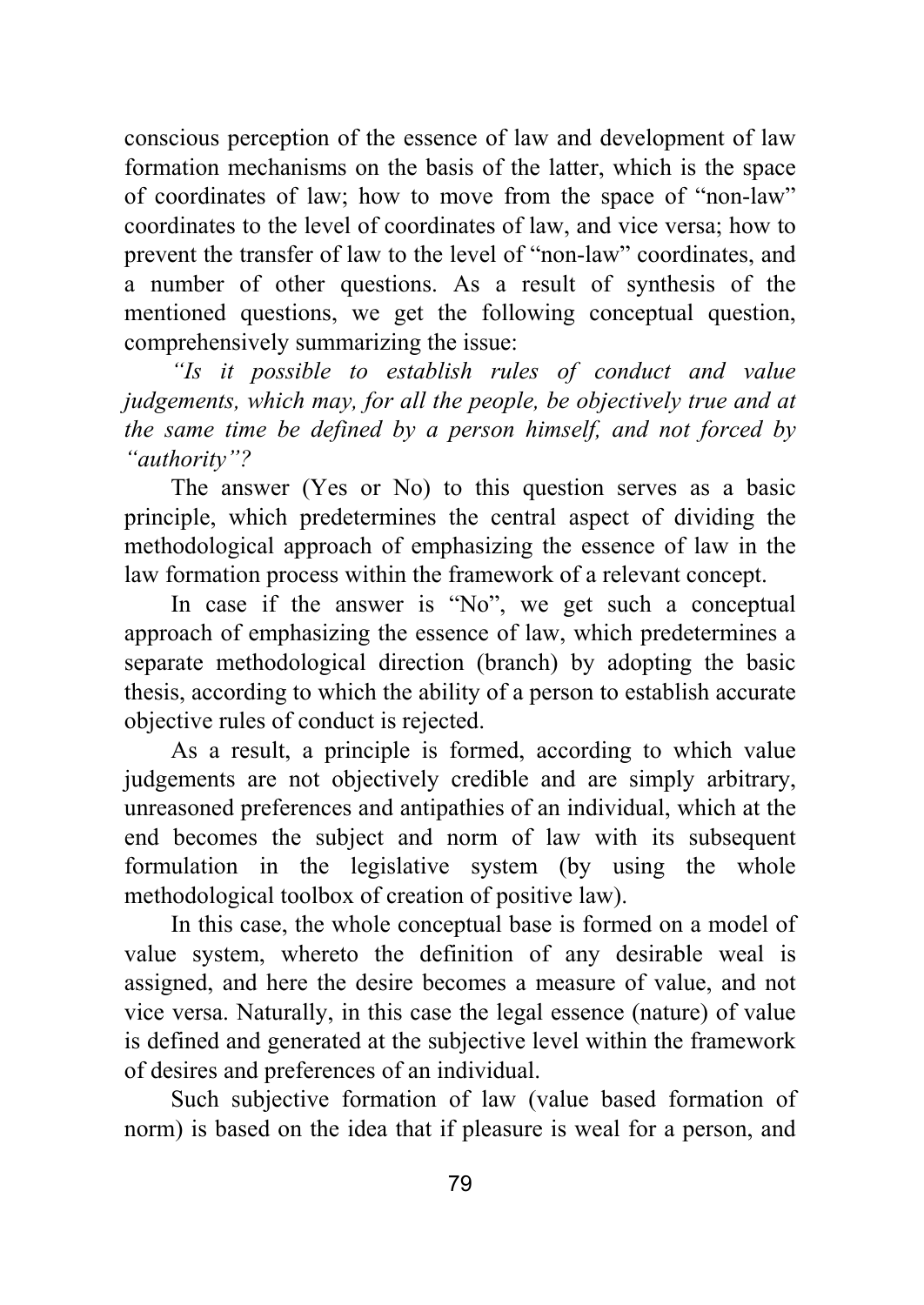conscious perception of the essence of law and development of law formation mechanisms on the basis of the latter, which is the space of coordinates of law; how to move from the space of "non-law" coordinates to the level of coordinates of law, and vice versa; how to prevent the transfer of law to the level of "non-law" coordinates, and a number of other questions. As a result of synthesis of the mentioned questions, we get the following conceptual question, comprehensively summarizing the issue:

*"Is it possible to establish rules of conduct and value judgements, which may, for all the people, be objectively true and at the same time be defined by a person himself, and not forced by "authority"?* 

The answer (Yes or No) to this question serves as a basic principle, which predetermines the central aspect of dividing the methodological approach of emphasizing the essence of law in the law formation process within the framework of a relevant concept.

In case if the answer is "No", we get such a conceptual approach of emphasizing the essence of law, which predetermines a separate methodological direction (branch) by adopting the basic thesis, according to which the ability of a person to establish accurate objective rules of conduct is rejected.

As a result, a principle is formed, according to which value judgements are not objectively credible and are simply arbitrary, unreasoned preferences and antipathies of an individual, which at the end becomes the subject and norm of law with its subsequent formulation in the legislative system (by using the whole methodological toolbox of creation of positive law).

In this case, the whole conceptual base is formed on a model of value system, whereto the definition of any desirable weal is assigned, and here the desire becomes a measure of value, and not vice versa. Naturally, in this case the legal essence (nature) of value is defined and generated at the subjective level within the framework of desires and preferences of an individual.

Such subjective formation of law (value based formation of norm) is based on the idea that if pleasure is weal for a person, and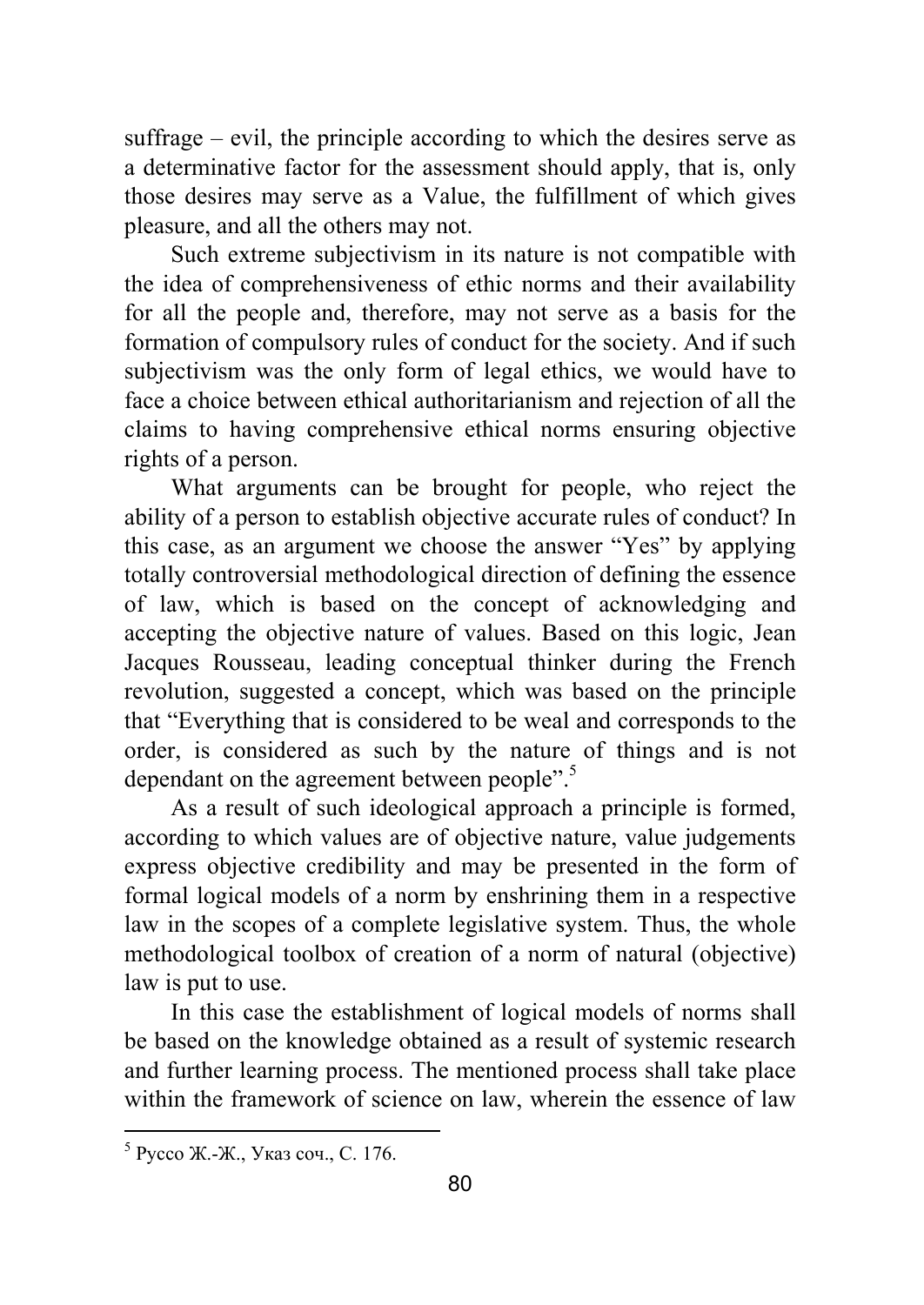suffrage – evil, the principle according to which the desires serve as a determinative factor for the assessment should apply, that is, only those desires may serve as a Value, the fulfillment of which gives pleasure, and all the others may not.

Such extreme subjectivism in its nature is not compatible with the idea of comprehensiveness of ethic norms and their availability for all the people and, therefore, may not serve as a basis for the formation of compulsory rules of conduct for the society. And if such subjectivism was the only form of legal ethics, we would have to face a choice between ethical authoritarianism and rejection of all the claims to having comprehensive ethical norms ensuring objective rights of a person.

What arguments can be brought for people, who reject the ability of a person to establish objective accurate rules of conduct? In this case, as an argument we choose the answer "Yes" by applying totally controversial methodological direction of defining the essence of law, which is based on the concept of acknowledging and accepting the objective nature of values. Based on this logic, Jean Jacques Rousseau, leading conceptual thinker during the French revolution, suggested a concept, which was based on the principle that "Everything that is considered to be weal and corresponds to the order, is considered as such by the nature of things and is not dependant on the agreement between people".<sup>5</sup>

As a result of such ideological approach a principle is formed, according to which values are of objective nature, value judgements express objective credibility and may be presented in the form of formal logical models of a norm by enshrining them in a respective law in the scopes of a complete legislative system. Thus, the whole methodological toolbox of creation of a norm of natural (objective) law is put to use.

In this case the establishment of logical models of norms shall be based on the knowledge obtained as a result of systemic research and further learning process. The mentioned process shall take place within the framework of science on law, wherein the essence of law

<sup>5</sup> Руссо Ж.-Ж., Указ соч., С. 176.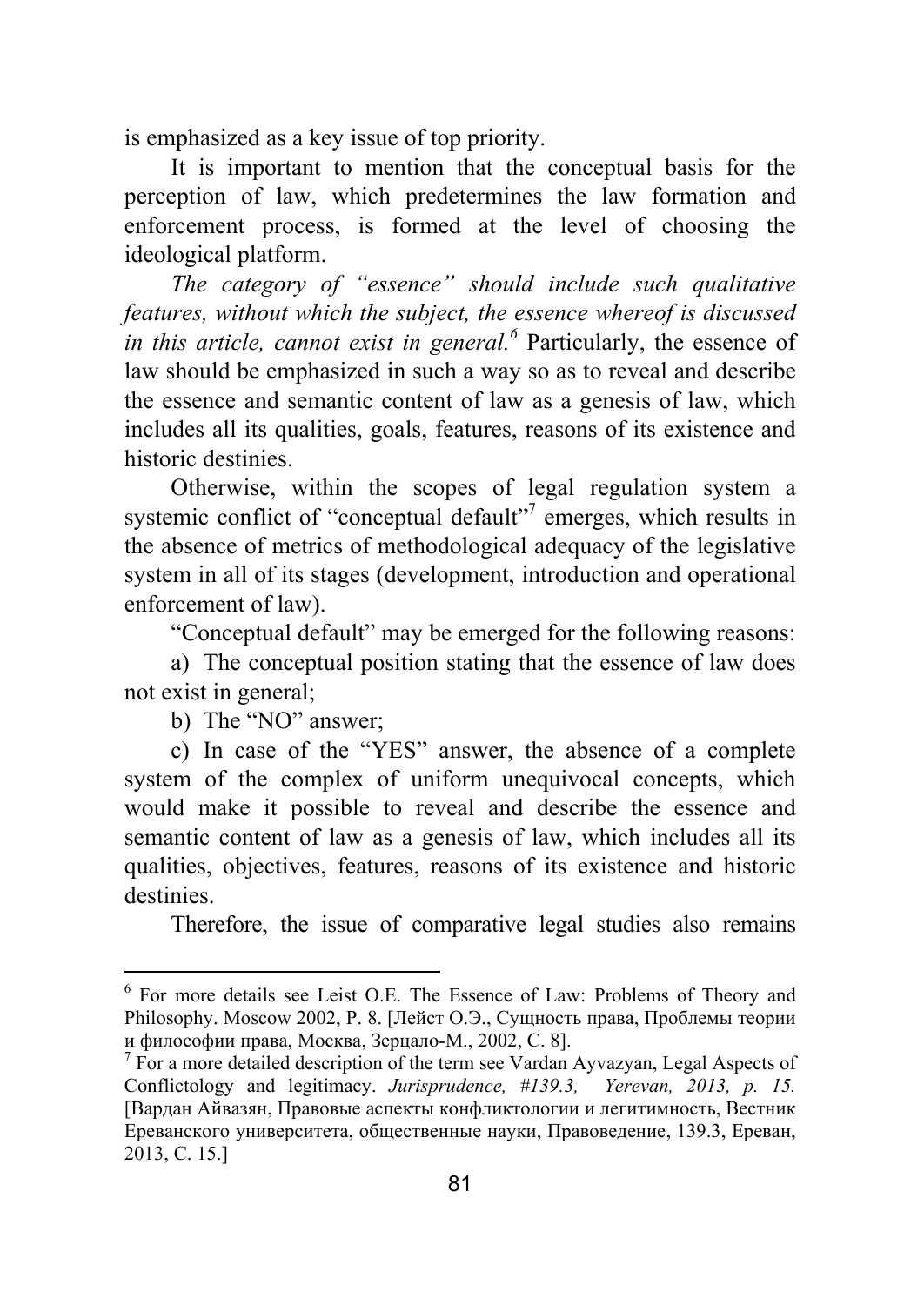is emphasized as a key issue of top priority.

It is important to mention that the conceptual basis for the perception of law, which predetermines the law formation and enforcement process, is formed at the level of choosing the ideological platform.

*The category of "essence" should include such qualitative features, without which the subject, the essence whereof is discussed in this article, cannot exist in general.*<sup>6</sup> Particularly, the essence of law should be emphasized in such a way so as to reveal and describe the essence and semantic content of law as a genesis of law, which includes all its qualities, goals, features, reasons of its existence and historic destinies.

Otherwise, within the scopes of legal regulation system a systemic conflict of "conceptual default"<sup>7</sup> emerges, which results in the absence of metrics of methodological adequacy of the legislative system in all of its stages (development, introduction and operational enforcement of law).

"Conceptual default" may be emerged for the following reasons:

a) The conceptual position stating that the essence of law does not exist in general;

b) The "NO" answer;

c) In case of the "YES" answer, the absence of a complete system of the complex of uniform unequivocal concepts, which would make it possible to reveal and describe the essence and semantic content of law as a genesis of law, which includes all its qualities, objectives, features, reasons of its existence and historic destinies.

Therefore, the issue of comparative legal studies also remains

 6 For more details see Leist O.E. The Essence of Law: Problems of Theory and Philosophy. Moscow 2002, P. 8. [Лейст О.Э., Сущность права, Проблемы теории <sup>и</sup> философии права, Москва, Зерцало-М., 2002, С. 8]. <sup>7</sup>

 $^7$  For a more detailed description of the term see Vardan Ayvazyan, Legal Aspects of Conflictology and legitimacy. *Jurisprudence, #139.3, Yerevan, 2013, p. 15.*  [Вардан Айвазян, Правовые аспекты конфликтологии и легитимность, Вестник Ереванского университета, общественные науки, Правоведение, 139.3, Ереван, 2013, С. 15.]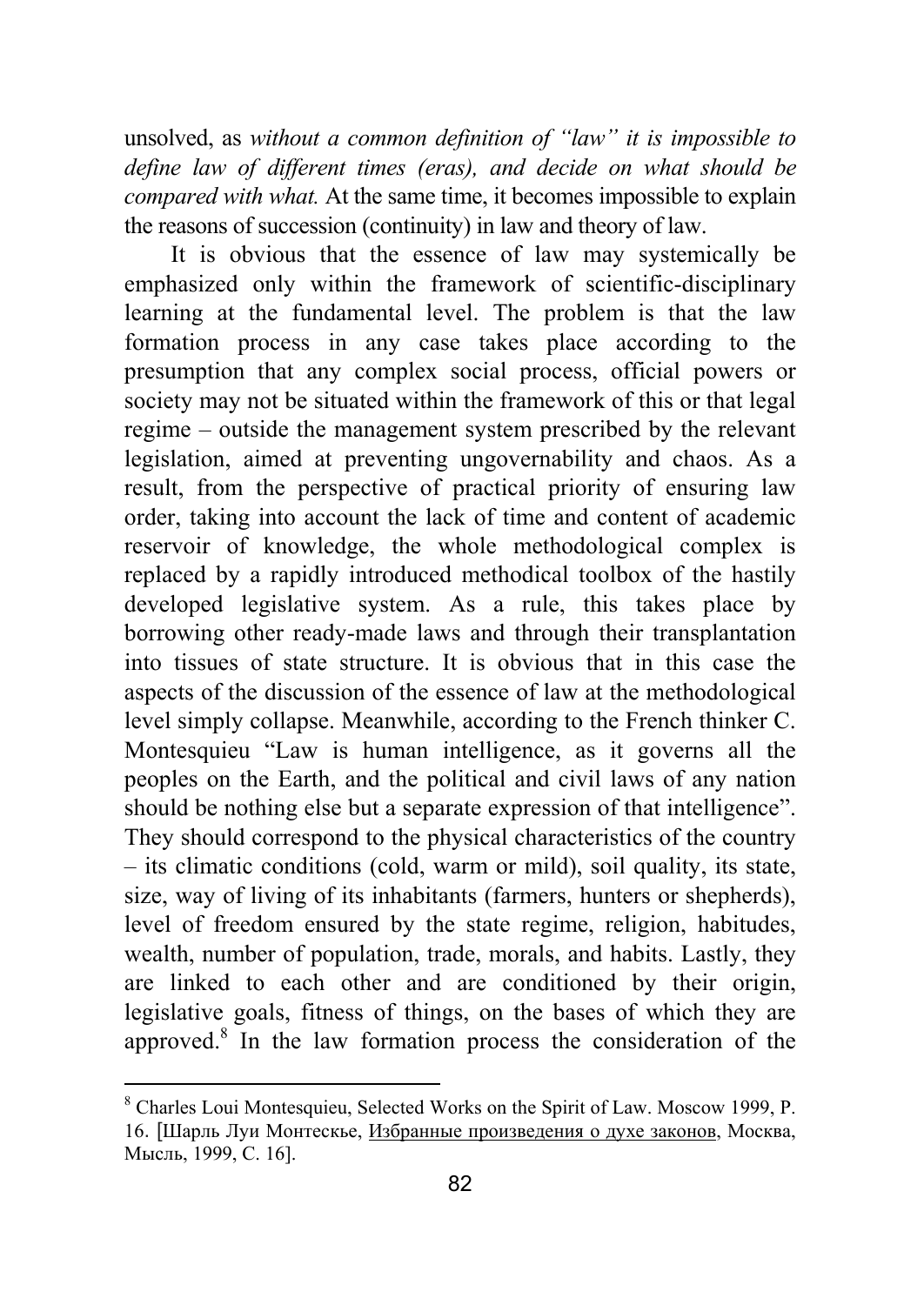unsolved, as *without a common definition of "law" it is impossible to define law of different times (eras), and decide on what should be compared with what.* At the same time, it becomes impossible to explain the reasons of succession (continuity) in law and theory of law.

It is obvious that the essence of law may systemically be emphasized only within the framework of scientific-disciplinary learning at the fundamental level. The problem is that the law formation process in any case takes place according to the presumption that any complex social process, official powers or society may not be situated within the framework of this or that legal regime – outside the management system prescribed by the relevant legislation, aimed at preventing ungovernability and chaos. As a result, from the perspective of practical priority of ensuring law order, taking into account the lack of time and content of academic reservoir of knowledge, the whole methodological complex is replaced by a rapidly introduced methodical toolbox of the hastily developed legislative system. As a rule, this takes place by borrowing other ready-made laws and through their transplantation into tissues of state structure. It is obvious that in this case the aspects of the discussion of the essence of law at the methodological level simply collapse. Meanwhile, according to the French thinker C. Montesquieu "Law is human intelligence, as it governs all the peoples on the Earth, and the political and civil laws of any nation should be nothing else but a separate expression of that intelligence". They should correspond to the physical characteristics of the country – its climatic conditions (cold, warm or mild), soil quality, its state, size, way of living of its inhabitants (farmers, hunters or shepherds), level of freedom ensured by the state regime, religion, habitudes, wealth, number of population, trade, morals, and habits. Lastly, they are linked to each other and are conditioned by their origin, legislative goals, fitness of things, on the bases of which they are approved.<sup>8</sup> In the law formation process the consideration of the

<sup>&</sup>lt;sup>8</sup> Charles Loui Montesquieu, Selected Works on the Spirit of Law. Moscow 1999, P. 16. [Шарль Луи Монтескье, Избранные произведения о духе законов, Москва, Мысль, 1999, С. 16].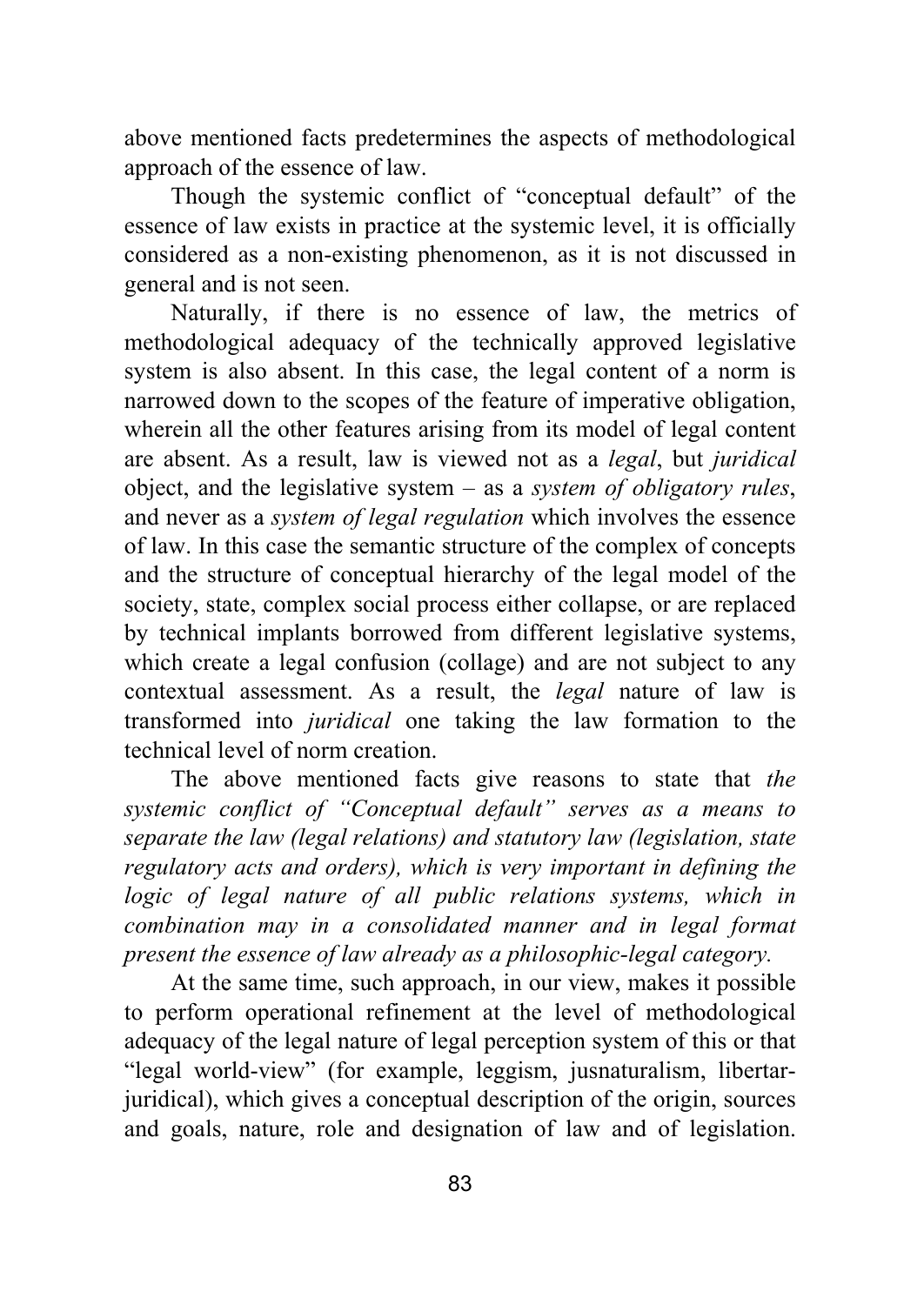above mentioned facts predetermines the aspects of methodological approach of the essence of law.

Though the systemic conflict of "conceptual default" of the essence of law exists in practice at the systemic level, it is officially considered as a non-existing phenomenon, as it is not discussed in general and is not seen.

Naturally, if there is no essence of law, the metrics of methodological adequacy of the technically approved legislative system is also absent. In this case, the legal content of a norm is narrowed down to the scopes of the feature of imperative obligation, wherein all the other features arising from its model of legal content are absent. As a result, law is viewed not as a *legal*, but *juridical* object, and the legislative system – as a *system of obligatory rules*, and never as a *system of legal regulation* which involves the essence of law. In this case the semantic structure of the complex of concepts and the structure of conceptual hierarchy of the legal model of the society, state, complex social process either collapse, or are replaced by technical implants borrowed from different legislative systems, which create a legal confusion (collage) and are not subject to any contextual assessment. As a result, the *legal* nature of law is transformed into *juridical* one taking the law formation to the technical level of norm creation.

The above mentioned facts give reasons to state that *the systemic conflict of "Conceptual default" serves as a means to separate the law (legal relations) and statutory law (legislation, state regulatory acts and orders), which is very important in defining the logic of legal nature of all public relations systems, which in combination may in a consolidated manner and in legal format present the essence of law already as a philosophic-legal category.* 

At the same time, such approach, in our view, makes it possible to perform operational refinement at the level of methodological adequacy of the legal nature of legal perception system of this or that "legal world-view" (for example, leggism, jusnaturalism, libertarjuridical), which gives a conceptual description of the origin, sources and goals, nature, role and designation of law and of legislation.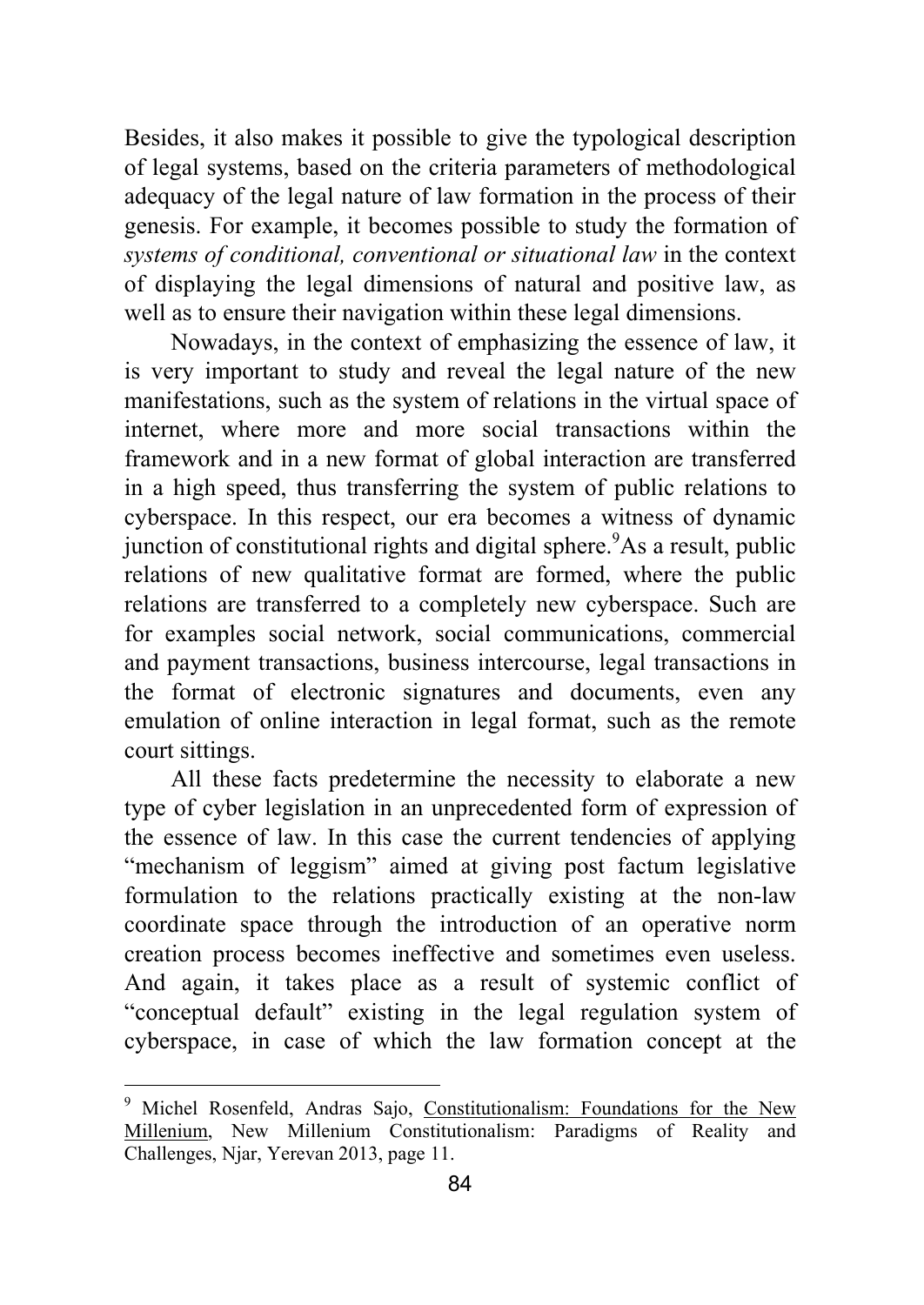Besides, it also makes it possible to give the typological description of legal systems, based on the criteria parameters of methodological adequacy of the legal nature of law formation in the process of their genesis. For example, it becomes possible to study the formation of *systems of conditional, conventional or situational law* in the context of displaying the legal dimensions of natural and positive law, as well as to ensure their navigation within these legal dimensions.

Nowadays, in the context of emphasizing the essence of law, it is very important to study and reveal the legal nature of the new manifestations, such as the system of relations in the virtual space of internet, where more and more social transactions within the framework and in a new format of global interaction are transferred in a high speed, thus transferring the system of public relations to cyberspace. In this respect, our era becomes a witness of dynamic junction of constitutional rights and digital sphere.<sup>9</sup>As a result, public relations of new qualitative format are formed, where the public relations are transferred to a completely new cyberspace. Such are for examples social network, social communications, commercial and payment transactions, business intercourse, legal transactions in the format of electronic signatures and documents, even any emulation of online interaction in legal format, such as the remote court sittings.

All these facts predetermine the necessity to elaborate a new type of cyber legislation in an unprecedented form of expression of the essence of law. In this case the current tendencies of applying "mechanism of leggism" aimed at giving post factum legislative formulation to the relations practically existing at the non-law coordinate space through the introduction of an operative norm creation process becomes ineffective and sometimes even useless. And again, it takes place as a result of systemic conflict of "conceptual default" existing in the legal regulation system of cyberspace, in case of which the law formation concept at the

 9 Michel Rosenfeld, Andras Sajo, Constitutionalism: Foundations for the New Millenium, New Millenium Constitutionalism: Paradigms of Reality and Challenges, Njar, Yerevan 2013, page 11.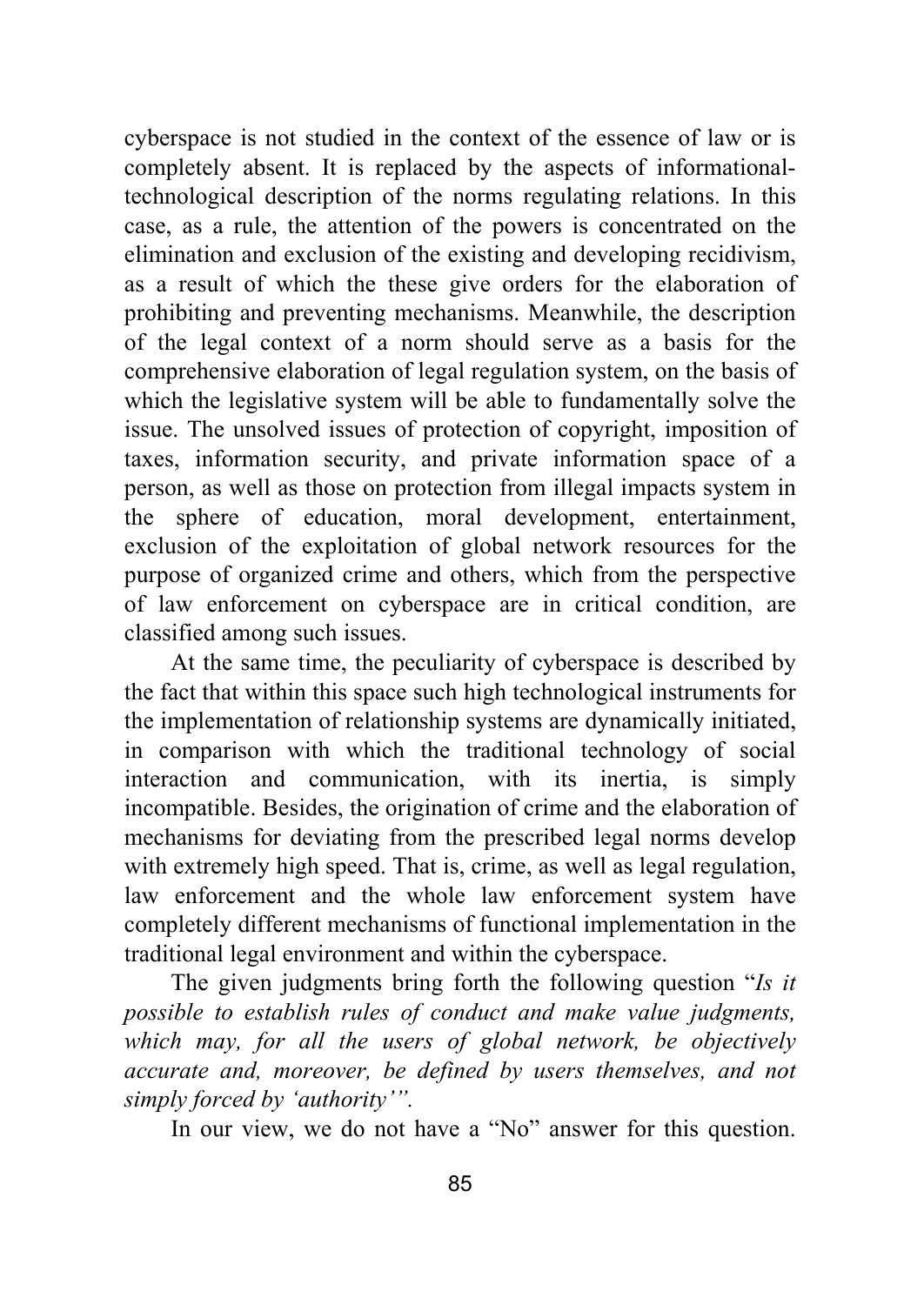cyberspace is not studied in the context of the essence of law or is completely absent. It is replaced by the aspects of informationaltechnological description of the norms regulating relations. In this case, as a rule, the attention of the powers is concentrated on the elimination and exclusion of the existing and developing recidivism, as a result of which the these give orders for the elaboration of prohibiting and preventing mechanisms. Meanwhile, the description of the legal context of a norm should serve as a basis for the comprehensive elaboration of legal regulation system, on the basis of which the legislative system will be able to fundamentally solve the issue. The unsolved issues of protection of copyright, imposition of taxes, information security, and private information space of a person, as well as those on protection from illegal impacts system in the sphere of education, moral development, entertainment, exclusion of the exploitation of global network resources for the purpose of organized crime and others, which from the perspective of law enforcement on cyberspace are in critical condition, are classified among such issues.

At the same time, the peculiarity of cyberspace is described by the fact that within this space such high technological instruments for the implementation of relationship systems are dynamically initiated, in comparison with which the traditional technology of social interaction and communication, with its inertia, is simply incompatible. Besides, the origination of crime and the elaboration of mechanisms for deviating from the prescribed legal norms develop with extremely high speed. That is, crime, as well as legal regulation, law enforcement and the whole law enforcement system have completely different mechanisms of functional implementation in the traditional legal environment and within the cyberspace.

The given judgments bring forth the following question "*Is it possible to establish rules of conduct and make value judgments,*  which may, for all the users of global network, be objectively *accurate and, moreover, be defined by users themselves, and not simply forced by 'authority'".*

In our view, we do not have a "No" answer for this question.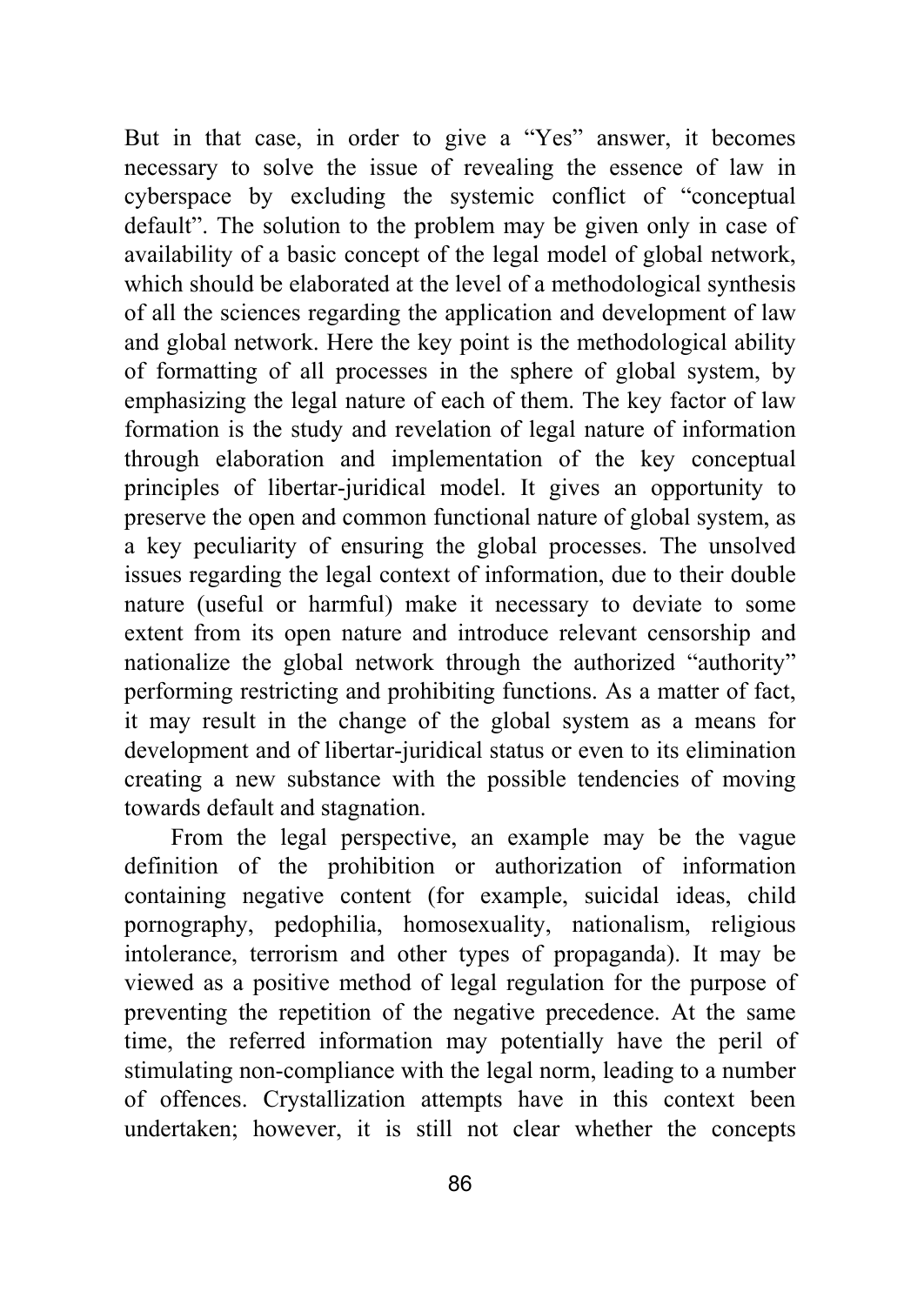But in that case, in order to give a "Yes" answer, it becomes necessary to solve the issue of revealing the essence of law in cyberspace by excluding the systemic conflict of "conceptual default". The solution to the problem may be given only in case of availability of a basic concept of the legal model of global network, which should be elaborated at the level of a methodological synthesis of all the sciences regarding the application and development of law and global network. Here the key point is the methodological ability of formatting of all processes in the sphere of global system, by emphasizing the legal nature of each of them. The key factor of law formation is the study and revelation of legal nature of information through elaboration and implementation of the key conceptual principles of libertar-juridical model. It gives an opportunity to preserve the open and common functional nature of global system, as a key peculiarity of ensuring the global processes. The unsolved issues regarding the legal context of information, due to their double nature (useful or harmful) make it necessary to deviate to some extent from its open nature and introduce relevant censorship and nationalize the global network through the authorized "authority" performing restricting and prohibiting functions. As a matter of fact, it may result in the change of the global system as a means for development and of libertar-juridical status or even to its elimination creating a new substance with the possible tendencies of moving towards default and stagnation.

From the legal perspective, an example may be the vague definition of the prohibition or authorization of information containing negative content (for example, suicidal ideas, child pornography, pedophilia, homosexuality, nationalism, religious intolerance, terrorism and other types of propaganda). It may be viewed as a positive method of legal regulation for the purpose of preventing the repetition of the negative precedence. At the same time, the referred information may potentially have the peril of stimulating non-compliance with the legal norm, leading to a number of offences. Crystallization attempts have in this context been undertaken; however, it is still not clear whether the concepts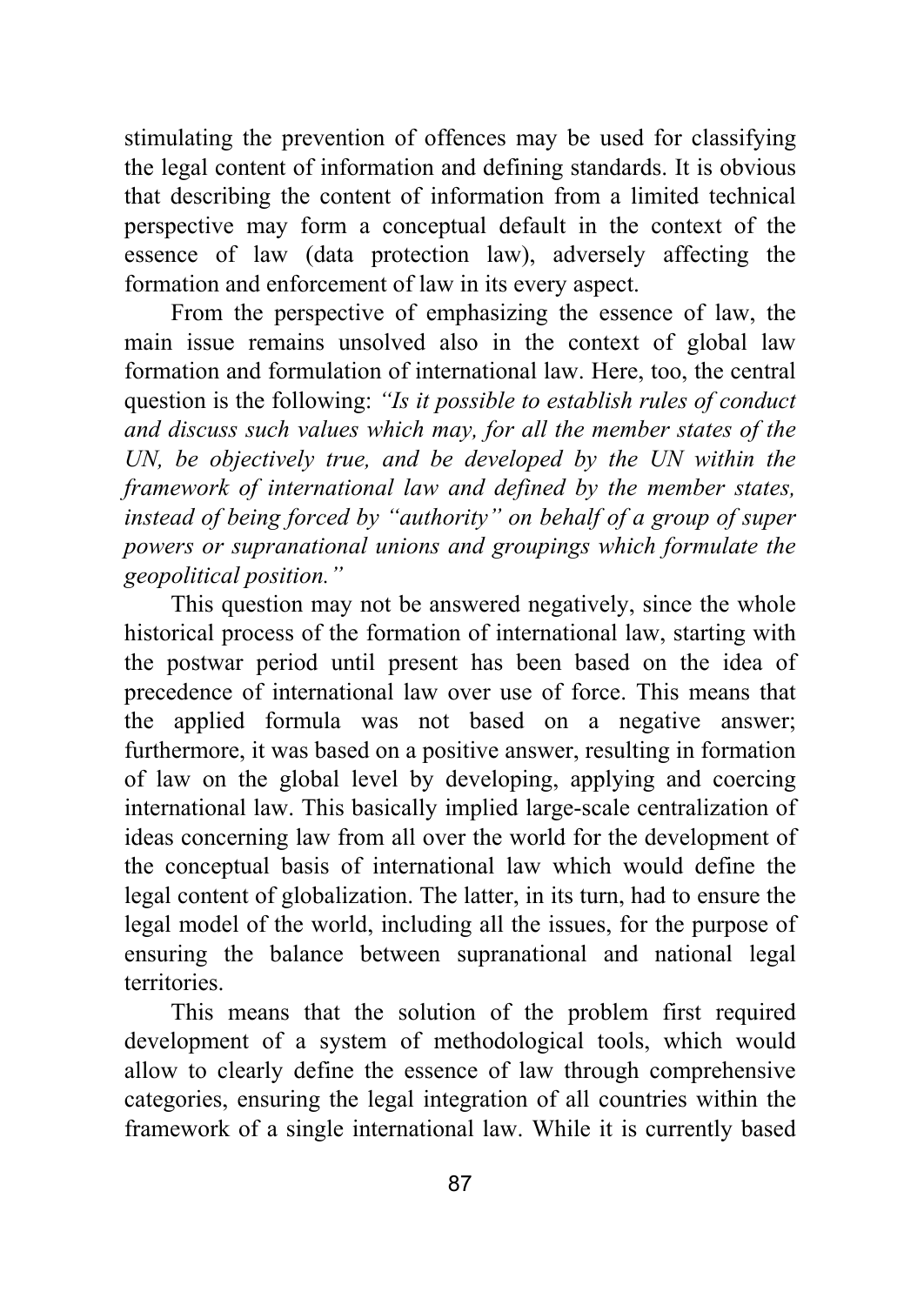stimulating the prevention of offences may be used for classifying the legal content of information and defining standards. It is obvious that describing the content of information from a limited technical perspective may form a conceptual default in the context of the essence of law (data protection law), adversely affecting the formation and enforcement of law in its every aspect.

From the perspective of emphasizing the essence of law, the main issue remains unsolved also in the context of global law formation and formulation of international law. Here, too, the central question is the following: *"Is it possible to establish rules of conduct and discuss such values which may, for all the member states of the*  UN, be objectively true, and be developed by the UN within the *framework of international law and defined by the member states, instead of being forced by "authority" on behalf of a group of super powers or supranational unions and groupings which formulate the geopolitical position."* 

This question may not be answered negatively, since the whole historical process of the formation of international law, starting with the postwar period until present has been based on the idea of precedence of international law over use of force. This means that the applied formula was not based on a negative answer; furthermore, it was based on a positive answer, resulting in formation of law on the global level by developing, applying and coercing international law. This basically implied large-scale centralization of ideas concerning law from all over the world for the development of the conceptual basis of international law which would define the legal content of globalization. The latter, in its turn, had to ensure the legal model of the world, including all the issues, for the purpose of ensuring the balance between supranational and national legal territories.

This means that the solution of the problem first required development of a system of methodological tools, which would allow to clearly define the essence of law through comprehensive categories, ensuring the legal integration of all countries within the framework of a single international law. While it is currently based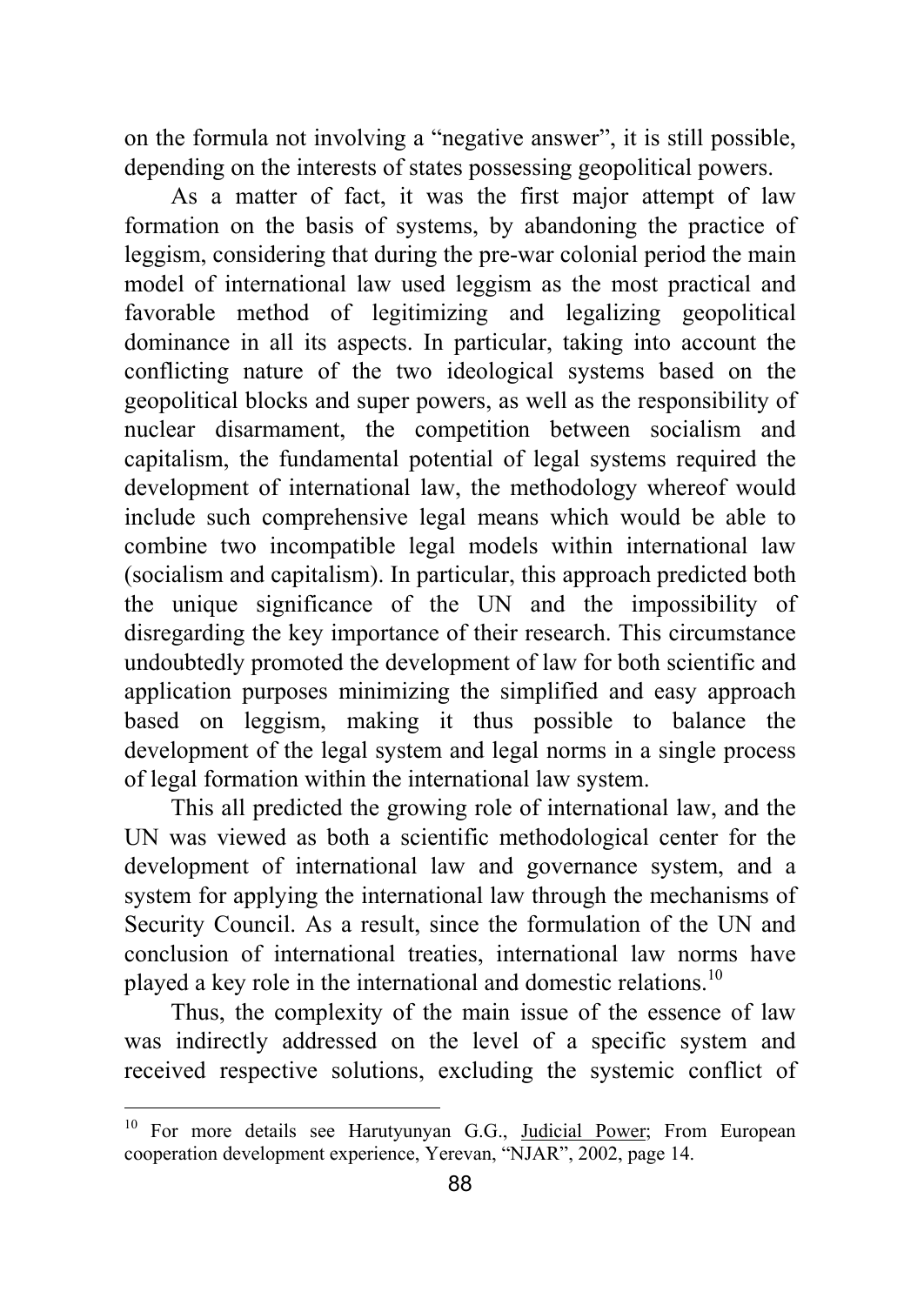on the formula not involving a "negative answer", it is still possible, depending on the interests of states possessing geopolitical powers.

As a matter of fact, it was the first major attempt of law formation on the basis of systems, by abandoning the practice of leggism, considering that during the pre-war colonial period the main model of international law used leggism as the most practical and favorable method of legitimizing and legalizing geopolitical dominance in all its aspects. In particular, taking into account the conflicting nature of the two ideological systems based on the geopolitical blocks and super powers, as well as the responsibility of nuclear disarmament, the competition between socialism and capitalism, the fundamental potential of legal systems required the development of international law, the methodology whereof would include such comprehensive legal means which would be able to combine two incompatible legal models within international law (socialism and capitalism). In particular, this approach predicted both the unique significance of the UN and the impossibility of disregarding the key importance of their research. This circumstance undoubtedly promoted the development of law for both scientific and application purposes minimizing the simplified and easy approach based on leggism, making it thus possible to balance the development of the legal system and legal norms in a single process of legal formation within the international law system.

This all predicted the growing role of international law, and the UN was viewed as both a scientific methodological center for the development of international law and governance system, and a system for applying the international law through the mechanisms of Security Council. As a result, since the formulation of the UN and conclusion of international treaties, international law norms have played a key role in the international and domestic relations.10

Thus, the complexity of the main issue of the essence of law was indirectly addressed on the level of a specific system and received respective solutions, excluding the systemic conflict of

<sup>&</sup>lt;sup>10</sup> For more details see Harutyunyan G.G., Judicial Power; From European cooperation development experience, Yerevan, "NJAR", 2002, page 14.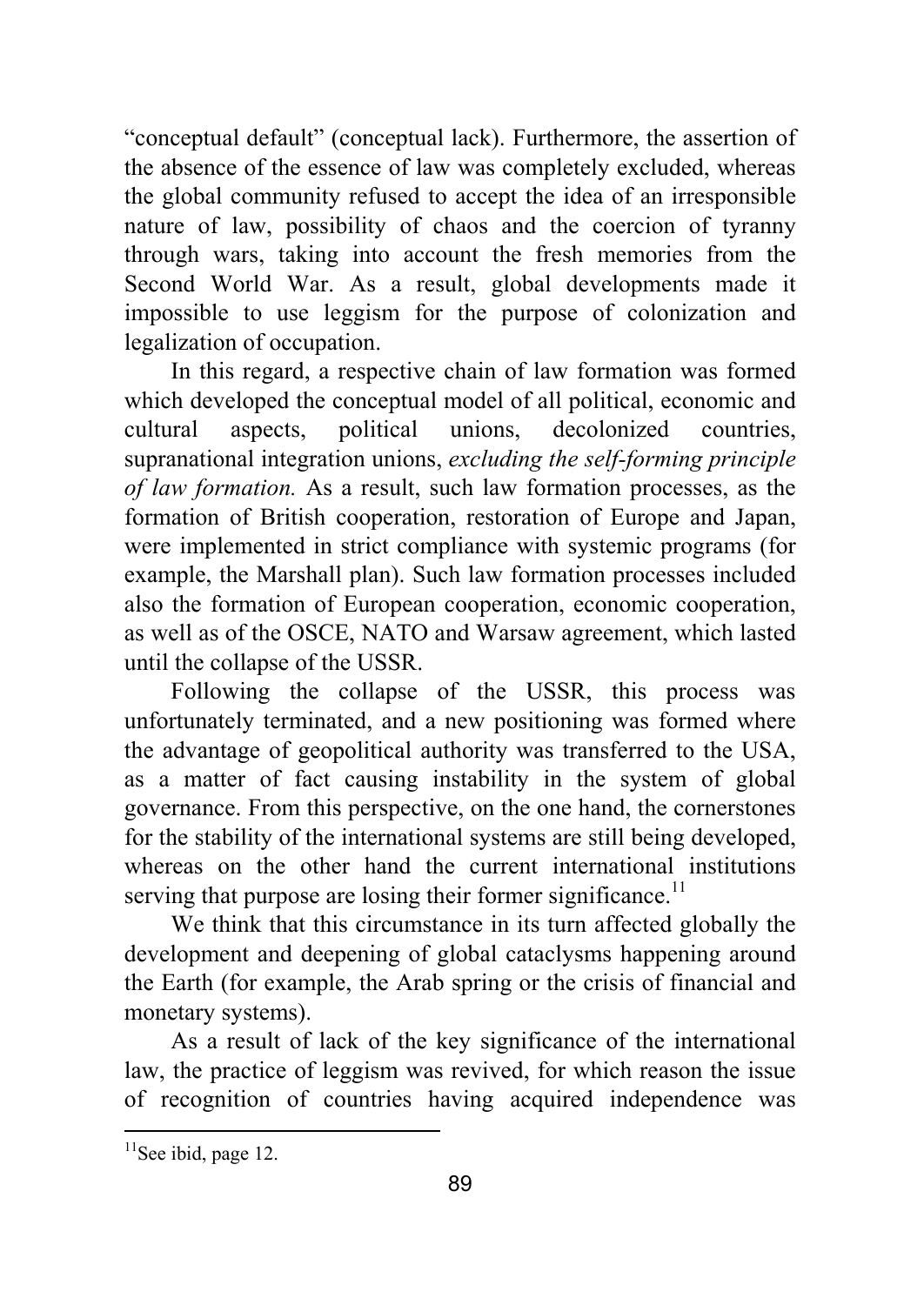"conceptual default" (conceptual lack). Furthermore, the assertion of the absence of the essence of law was completely excluded, whereas the global community refused to accept the idea of an irresponsible nature of law, possibility of chaos and the coercion of tyranny through wars, taking into account the fresh memories from the Second World War. As a result, global developments made it impossible to use leggism for the purpose of colonization and legalization of occupation.

In this regard, a respective chain of law formation was formed which developed the conceptual model of all political, economic and cultural aspects, political unions, decolonized countries, supranational integration unions, *excluding the self-forming principle of law formation.* As a result, such law formation processes, as the formation of British cooperation, restoration of Europe and Japan, were implemented in strict compliance with systemic programs (for example, the Marshall plan). Such law formation processes included also the formation of European cooperation, economic cooperation, as well as of the OSCE, NATO and Warsaw agreement, which lasted until the collapse of the USSR.

Following the collapse of the USSR, this process was unfortunately terminated, and a new positioning was formed where the advantage of geopolitical authority was transferred to the USA, as a matter of fact causing instability in the system of global governance. From this perspective, on the one hand, the cornerstones for the stability of the international systems are still being developed, whereas on the other hand the current international institutions serving that purpose are losing their former significance.<sup>11</sup>

We think that this circumstance in its turn affected globally the development and deepening of global cataclysms happening around the Earth (for example, the Arab spring or the crisis of financial and monetary systems).

As a result of lack of the key significance of the international law, the practice of leggism was revived, for which reason the issue of recognition of countries having acquired independence was

 $11$ See ibid, page 12.